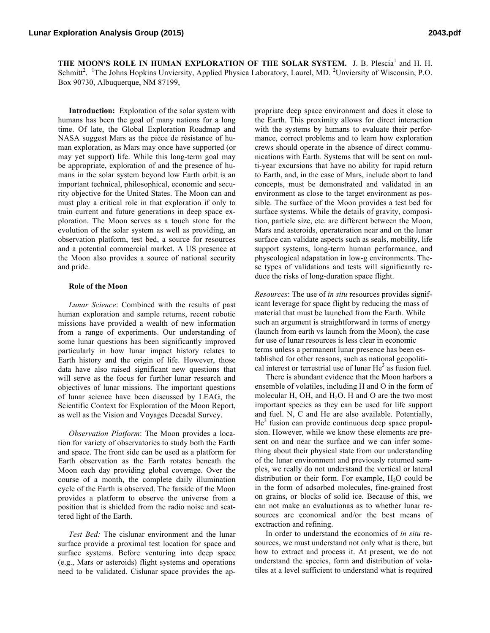**THE MOON'S ROLE IN HUMAN EXPLORATION OF THE SOLAR SYSTEM.** J. B. Plescia<sup>1</sup> and H. H. Schmitt<sup>2</sup>. <sup>1</sup>The Johns Hopkins Unviersity, Applied Physica Laboratory, Laurel, MD. <sup>2</sup>Unviersity of Wisconsin, P.O. Box 90730, Albuquerque, NM 87199,

**Introduction:** Exploration of the solar system with humans has been the goal of many nations for a long time. Of late, the Global Exploration Roadmap and NASA suggest Mars as the pièce de résistance of human exploration, as Mars may once have supported (or may yet support) life. While this long-term goal may be appropriate, exploration of and the presence of humans in the solar system beyond low Earth orbit is an important technical, philosophical, economic and security objective for the United States. The Moon can and must play a critical role in that exploration if only to train current and future generations in deep space exploration. The Moon serves as a touch stone for the evolution of the solar system as well as providing, an observation platform, test bed, a source for resources and a potential commercial market. A US presence at the Moon also provides a source of national security and pride.

## **Role of the Moon**

*Lunar Science*: Combined with the results of past human exploration and sample returns, recent robotic missions have provided a wealth of new information from a range of experiments. Our understanding of some lunar questions has been significantly improved particularly in how lunar impact history relates to Earth history and the origin of life. However, those data have also raised significant new questions that will serve as the focus for further lunar research and objectives of lunar missions. The important questions of lunar science have been discussed by LEAG, the Scientific Context for Exploration of the Moon Report, as well as the Vision and Voyages Decadal Survey.

*Observation Platform*: The Moon provides a location for variety of observatories to study both the Earth and space. The front side can be used as a platform for Earth observation as the Earth rotates beneath the Moon each day providing global coverage. Over the course of a month, the complete daily illumination cycle of the Earth is observed. The farside of the Moon provides a platform to observe the universe from a position that is shielded from the radio noise and scattered light of the Earth.

*Test Bed:* The cislunar environment and the lunar surface provide a proximal test location for space and surface systems. Before venturing into deep space (e.g., Mars or asteroids) flight systems and operations need to be validated. Cislunar space provides the appropriate deep space environment and does it close to the Earth. This proximity allows for direct interaction with the systems by humans to evaluate their performance, correct problems and to learn how exploration crews should operate in the absence of direct communications with Earth. Systems that will be sent on multi-year excursions that have no ability for rapid return to Earth, and, in the case of Mars, include abort to land concepts, must be demonstrated and validated in an environment as close to the target environment as possible. The surface of the Moon provides a test bed for surface systems. While the details of gravity, composition, particle size, etc. are different between the Moon, Mars and asteroids, operateration near and on the lunar surface can validate aspects such as seals, mobility, life support systems, long-term human performance, and physcological adapatation in low-g environments. These types of validations and tests will significantly reduce the risks of long-duration space flight.

*Resources*: The use of *in situ* resources provides significant leverage for space flight by reducing the mass of material that must be launched from the Earth. While such an argument is straightforward in terms of energy (launch from earth vs launch from the Moon), the case for use of lunar resources is less clear in economic terms unless a permanent lunar presence has been established for other reasons, such as national geopolitical interest or terrestrial use of lunar  $He<sup>3</sup>$  as fusion fuel.

There is abundant evidence that the Moon harbors a ensemble of volatiles, including H and O in the form of molecular H, OH, and  $H_2O$ . H and O are the two most important species as they can be used for life support and fuel. N, C and He are also available. Potentially,  $He<sup>3</sup>$  fusion can provide continuous deep space propulsion. However, while we know these elements are present on and near the surface and we can infer something about their physical state from our understanding of the lunar environment and previously returned samples, we really do not understand the vertical or lateral distribution or their form. For example,  $H_2O$  could be in the form of adsorbed molecules, fine-grained frost on grains, or blocks of solid ice. Because of this, we can not make an evaluationas as to whether lunar resources are economical and/or the best means of exctraction and refining.

In order to understand the economics of *in situ* resources, we must understand not only what is there, but how to extract and process it. At present, we do not understand the species, form and distribution of volatiles at a level sufficient to understand what is required